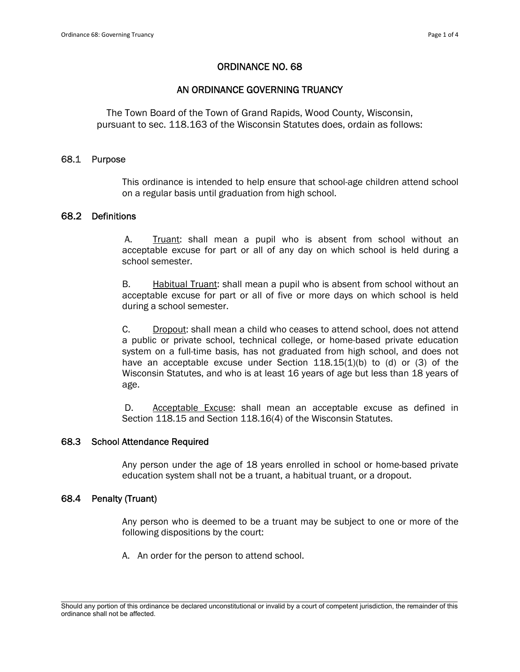## ORDINANCE NO. 68

## AN ORDINANCE GOVERNING TRUANCY

The Town Board of the Town of Grand Rapids, Wood County, Wisconsin, pursuant to sec. 118.163 of the Wisconsin Statutes does, ordain as follows:

#### 68.1 Purpose

This ordinance is intended to help ensure that school-age children attend school on a regular basis until graduation from high school.

### 68.2 Definitions

A. Truant: shall mean a pupil who is absent from school without an acceptable excuse for part or all of any day on which school is held during a school semester.

B. Habitual Truant: shall mean a pupil who is absent from school without an acceptable excuse for part or all of five or more days on which school is held during a school semester.

C. Dropout: shall mean a child who ceases to attend school, does not attend a public or private school, technical college, or home-based private education system on a full-time basis, has not graduated from high school, and does not have an acceptable excuse under Section  $118.15(1)(b)$  to (d) or (3) of the Wisconsin Statutes, and who is at least 16 years of age but less than 18 years of age.

D. Acceptable Excuse: shall mean an acceptable excuse as defined in Section 118.15 and Section 118.16(4) of the Wisconsin Statutes.

## 68.3 School Attendance Required

Any person under the age of 18 years enrolled in school or home-based private education system shall not be a truant, a habitual truant, or a dropout.

#### 68.4 Penalty (Truant)

Any person who is deemed to be a truant may be subject to one or more of the following dispositions by the court:

A. An order for the person to attend school.

\_\_\_\_\_\_\_\_\_\_\_\_\_\_\_\_\_\_\_\_\_\_\_\_\_\_\_\_\_\_\_\_\_\_\_\_\_\_\_\_\_\_\_\_\_\_\_\_\_\_\_\_\_\_\_\_\_\_\_\_\_\_\_\_\_\_\_\_\_\_\_\_\_\_\_\_\_\_\_\_\_\_\_\_\_\_\_\_\_\_\_\_\_\_\_\_\_\_\_\_\_\_\_\_\_ Should any portion of this ordinance be declared unconstitutional or invalid by a court of competent jurisdiction, the remainder of this ordinance shall not be affected.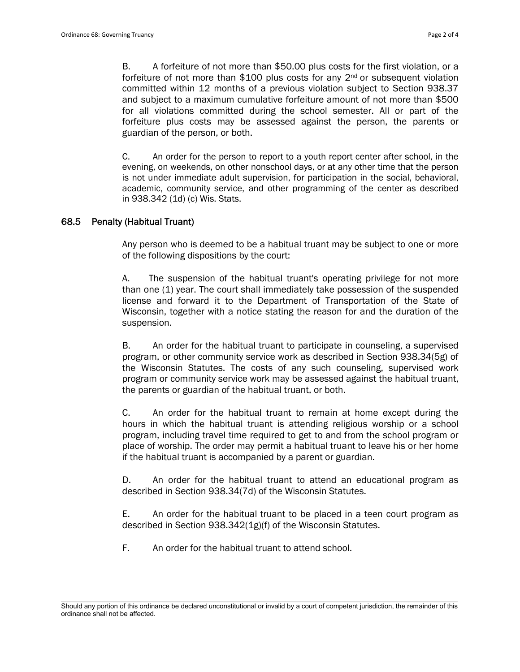B. A forfeiture of not more than \$50.00 plus costs for the first violation, or a forfeiture of not more than \$100 plus costs for any  $2<sup>nd</sup>$  or subsequent violation committed within 12 months of a previous violation subject to Section 938.37 and subject to a maximum cumulative forfeiture amount of not more than \$500 for all violations committed during the school semester. All or part of the forfeiture plus costs may be assessed against the person, the parents or guardian of the person, or both.

C. An order for the person to report to a youth report center after school, in the evening, on weekends, on other nonschool days, or at any other time that the person is not under immediate adult supervision, for participation in the social, behavioral, academic, community service, and other programming of the center as described in 938.342 (1d) (c) Wis. Stats.

## 68.5 Penalty (Habitual Truant)

Any person who is deemed to be a habitual truant may be subject to one or more of the following dispositions by the court:

A. The suspension of the habitual truant's operating privilege for not more than one (1) year. The court shall immediately take possession of the suspended license and forward it to the Department of Transportation of the State of Wisconsin, together with a notice stating the reason for and the duration of the suspension.

B. An order for the habitual truant to participate in counseling, a supervised program, or other community service work as described in Section 938.34(5g) of the Wisconsin Statutes. The costs of any such counseling, supervised work program or community service work may be assessed against the habitual truant, the parents or guardian of the habitual truant, or both.

C. An order for the habitual truant to remain at home except during the hours in which the habitual truant is attending religious worship or a school program, including travel time required to get to and from the school program or place of worship. The order may permit a habitual truant to leave his or her home if the habitual truant is accompanied by a parent or guardian.

D. An order for the habitual truant to attend an educational program as described in Section 938.34(7d) of the Wisconsin Statutes.

E. An order for the habitual truant to be placed in a teen court program as described in Section 938.342(1g)(f) of the Wisconsin Statutes.

F. An order for the habitual truant to attend school.

\_\_\_\_\_\_\_\_\_\_\_\_\_\_\_\_\_\_\_\_\_\_\_\_\_\_\_\_\_\_\_\_\_\_\_\_\_\_\_\_\_\_\_\_\_\_\_\_\_\_\_\_\_\_\_\_\_\_\_\_\_\_\_\_\_\_\_\_\_\_\_\_\_\_\_\_\_\_\_\_\_\_\_\_\_\_\_\_\_\_\_\_\_\_\_\_\_\_\_\_\_\_\_\_\_ Should any portion of this ordinance be declared unconstitutional or invalid by a court of competent jurisdiction, the remainder of this ordinance shall not be affected.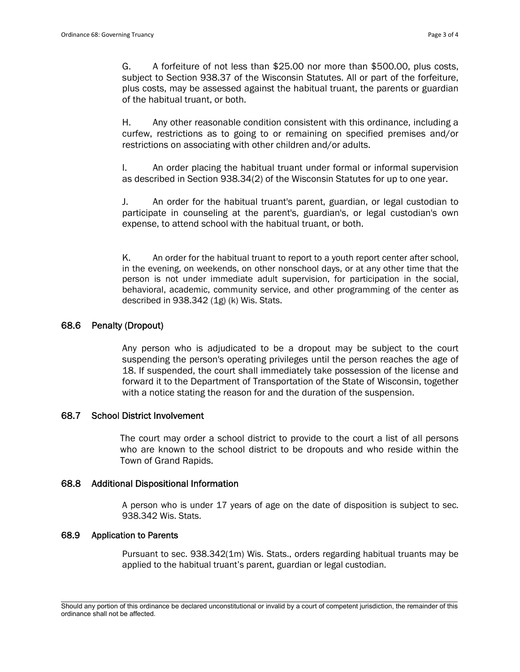G. A forfeiture of not less than \$25.00 nor more than \$500.00, plus costs, subject to Section 938.37 of the Wisconsin Statutes. All or part of the forfeiture, plus costs, may be assessed against the habitual truant, the parents or guardian of the habitual truant, or both.

H. Any other reasonable condition consistent with this ordinance, including a curfew, restrictions as to going to or remaining on specified premises and/or restrictions on associating with other children and/or adults.

I. An order placing the habitual truant under formal or informal supervision as described in Section 938.34(2) of the Wisconsin Statutes for up to one year.

J. An order for the habitual truant's parent, guardian, or legal custodian to participate in counseling at the parent's, guardian's, or legal custodian's own expense, to attend school with the habitual truant, or both.

K. An order for the habitual truant to report to a youth report center after school, in the evening, on weekends, on other nonschool days, or at any other time that the person is not under immediate adult supervision, for participation in the social, behavioral, academic, community service, and other programming of the center as described in 938.342 (1g) (k) Wis. Stats.

# 68.6 Penalty (Dropout)

Any person who is adjudicated to be a dropout may be subject to the court suspending the person's operating privileges until the person reaches the age of 18. If suspended, the court shall immediately take possession of the license and forward it to the Department of Transportation of the State of Wisconsin, together with a notice stating the reason for and the duration of the suspension.

## 68.7 School District Involvement

The court may order a school district to provide to the court a list of all persons who are known to the school district to be dropouts and who reside within the Town of Grand Rapids.

## 68.8 Additional Dispositional Information

A person who is under 17 years of age on the date of disposition is subject to sec. 938.342 Wis. Stats.

## 68.9 Application to Parents

Pursuant to sec. 938.342(1m) Wis. Stats., orders regarding habitual truants may be applied to the habitual truant's parent, guardian or legal custodian.

\_\_\_\_\_\_\_\_\_\_\_\_\_\_\_\_\_\_\_\_\_\_\_\_\_\_\_\_\_\_\_\_\_\_\_\_\_\_\_\_\_\_\_\_\_\_\_\_\_\_\_\_\_\_\_\_\_\_\_\_\_\_\_\_\_\_\_\_\_\_\_\_\_\_\_\_\_\_\_\_\_\_\_\_\_\_\_\_\_\_\_\_\_\_\_\_\_\_\_\_\_\_\_\_\_ Should any portion of this ordinance be declared unconstitutional or invalid by a court of competent jurisdiction, the remainder of this ordinance shall not be affected.